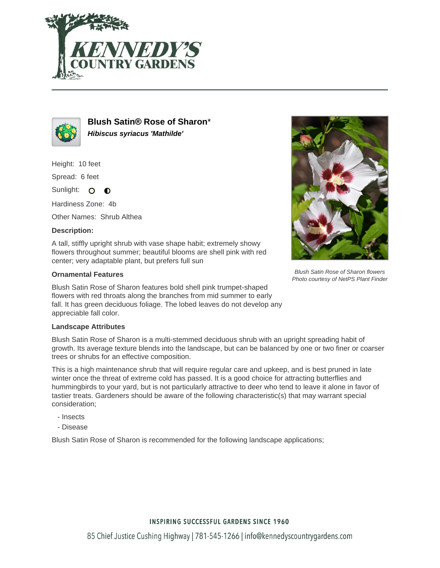



**Blush Satin® Rose of Sharon**\* **Hibiscus syriacus 'Mathilde'**

Height: 10 feet

Spread: 6 feet

Sunlight: O  $\bullet$ 

Hardiness Zone: 4b

Other Names: Shrub Althea

### **Description:**

A tall, stiffly upright shrub with vase shape habit; extremely showy flowers throughout summer; beautiful blooms are shell pink with red center; very adaptable plant, but prefers full sun

### **Ornamental Features**

Blush Satin Rose of Sharon features bold shell pink trumpet-shaped flowers with red throats along the branches from mid summer to early fall. It has green deciduous foliage. The lobed leaves do not develop any appreciable fall color.

### **Landscape Attributes**

Blush Satin Rose of Sharon is a multi-stemmed deciduous shrub with an upright spreading habit of growth. Its average texture blends into the landscape, but can be balanced by one or two finer or coarser trees or shrubs for an effective composition.

This is a high maintenance shrub that will require regular care and upkeep, and is best pruned in late winter once the threat of extreme cold has passed. It is a good choice for attracting butterflies and hummingbirds to your yard, but is not particularly attractive to deer who tend to leave it alone in favor of tastier treats. Gardeners should be aware of the following characteristic(s) that may warrant special consideration;

- Insects
- Disease

Blush Satin Rose of Sharon is recommended for the following landscape applications;



Blush Satin Rose of Sharon flowers Photo courtesy of NetPS Plant Finder

# **INSPIRING SUCCESSFUL GARDENS SINCE 1960**

85 Chief Justice Cushing Highway | 781-545-1266 | info@kennedyscountrygardens.com